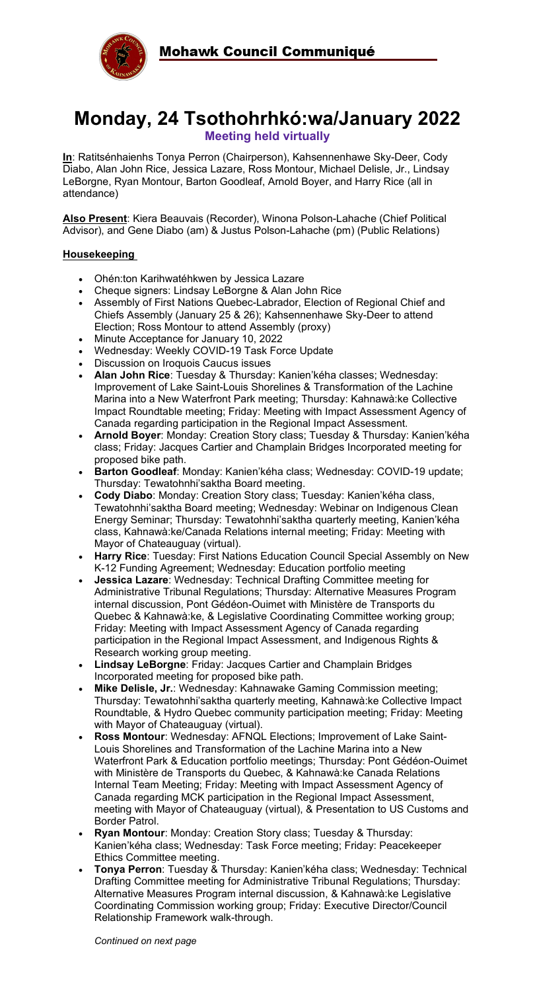

# **Monday, 24 Tsothohrhkó:wa/January 2022 Meeting held virtually**

**In**: Ratitsénhaienhs Tonya Perron (Chairperson), Kahsennenhawe Sky-Deer, Cody Diabo, Alan John Rice, Jessica Lazare, Ross Montour, Michael Delisle, Jr., Lindsay LeBorgne, Ryan Montour, Barton Goodleaf, Arnold Boyer, and Harry Rice (all in attendance)

**Also Present**: Kiera Beauvais (Recorder), Winona Polson-Lahache (Chief Political Advisor), and Gene Diabo (am) & Justus Polson-Lahache (pm) (Public Relations)

## **Housekeeping**

- Ohén:ton Karihwatéhkwen by Jessica Lazare
- Cheque signers: Lindsay LeBorgne & Alan John Rice
- Assembly of First Nations Quebec-Labrador, Election of Regional Chief and Chiefs Assembly (January 25 & 26); Kahsennenhawe Sky-Deer to attend Election; Ross Montour to attend Assembly (proxy)
- Minute Acceptance for January 10, 2022
- Wednesday: Weekly COVID-19 Task Force Update
- Discussion on Iroquois Caucus issues
- **Alan John Rice**: Tuesday & Thursday: Kanien'kéha classes; Wednesday: Improvement of Lake Saint-Louis Shorelines & Transformation of the Lachine Marina into a New Waterfront Park meeting; Thursday: Kahnawà:ke Collective Impact Roundtable meeting; Friday: Meeting with Impact Assessment Agency of Canada regarding participation in the Regional Impact Assessment.
- **Arnold Boyer**: Monday: Creation Story class; Tuesday & Thursday: Kanien'kéha class; Friday: Jacques Cartier and Champlain Bridges Incorporated meeting for proposed bike path.
- **Barton Goodleaf**: Monday: Kanien'kéha class; Wednesday: COVID-19 update; Thursday: Tewatohnhi'saktha Board meeting.
- **Cody Diabo**: Monday: Creation Story class; Tuesday: Kanien'kéha class, Tewatohnhi'saktha Board meeting; Wednesday: Webinar on Indigenous Clean Energy Seminar; Thursday: Tewatohnhi'saktha quarterly meeting, Kanien'kéha class, Kahnawà:ke/Canada Relations internal meeting; Friday: Meeting with Mayor of Chateauguay (virtual).
- **Harry Rice**: Tuesday: First Nations Education Council Special Assembly on New K-12 Funding Agreement; Wednesday: Education portfolio meeting
- **Jessica Lazare**: Wednesday: Technical Drafting Committee meeting for Administrative Tribunal Regulations; Thursday: Alternative Measures Program internal discussion, Pont Gédéon-Ouimet with Ministère de Transports du Quebec & Kahnawà:ke, & Legislative Coordinating Committee working group; Friday: Meeting with Impact Assessment Agency of Canada regarding participation in the Regional Impact Assessment, and Indigenous Rights & Research working group meeting.
- **Lindsay LeBorgne**: Friday: Jacques Cartier and Champlain Bridges Incorporated meeting for proposed bike path.
- **Mike Delisle, Jr.**: Wednesday: Kahnawake Gaming Commission meeting; Thursday: Tewatohnhi'saktha quarterly meeting, Kahnawà:ke Collective Impact Roundtable, & Hydro Quebec community participation meeting; Friday: Meeting with Mayor of Chateauguay (virtual).
- **Ross Montour**: Wednesday: AFNQL Elections; Improvement of Lake Saint-Louis Shorelines and Transformation of the Lachine Marina into a New Waterfront Park & Education portfolio meetings; Thursday: Pont Gédéon-Ouimet with Ministère de Transports du Quebec, & Kahnawà:ke Canada Relations Internal Team Meeting; Friday: Meeting with Impact Assessment Agency of Canada regarding MCK participation in the Regional Impact Assessment, meeting with Mayor of Chateauguay (virtual), & Presentation to US Customs and Border Patrol.
- **Ryan Montour**: Monday: Creation Story class; Tuesday & Thursday: Kanien'kéha class; Wednesday: Task Force meeting; Friday: Peacekeeper Ethics Committee meeting.
- **Tonya Perron**: Tuesday & Thursday: Kanien'kéha class; Wednesday: Technical Drafting Committee meeting for Administrative Tribunal Regulations; Thursday: Alternative Measures Program internal discussion, & Kahnawà:ke Legislative Coordinating Commission working group; Friday: Executive Director/Council Relationship Framework walk-through.

*Continued on next page*